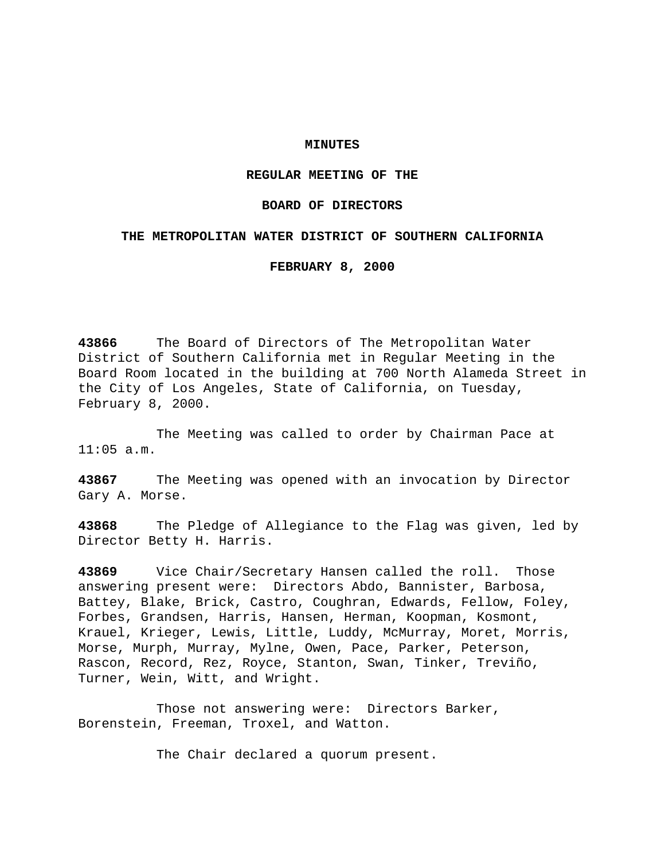### **MINUTES**

### **REGULAR MEETING OF THE**

## **BOARD OF DIRECTORS**

# **THE METROPOLITAN WATER DISTRICT OF SOUTHERN CALIFORNIA**

**FEBRUARY 8, 2000**

**43866** The Board of Directors of The Metropolitan Water District of Southern California met in Regular Meeting in the Board Room located in the building at 700 North Alameda Street in the City of Los Angeles, State of California, on Tuesday, February 8, 2000.

The Meeting was called to order by Chairman Pace at 11:05 a.m.

**43867** The Meeting was opened with an invocation by Director Gary A. Morse.

**43868** The Pledge of Allegiance to the Flag was given, led by Director Betty H. Harris.

**43869** Vice Chair/Secretary Hansen called the roll. Those answering present were: Directors Abdo, Bannister, Barbosa, Battey, Blake, Brick, Castro, Coughran, Edwards, Fellow, Foley, Forbes, Grandsen, Harris, Hansen, Herman, Koopman, Kosmont, Krauel, Krieger, Lewis, Little, Luddy, McMurray, Moret, Morris, Morse, Murph, Murray, Mylne, Owen, Pace, Parker, Peterson, Rascon, Record, Rez, Royce, Stanton, Swan, Tinker, Treviño, Turner, Wein, Witt, and Wright.

Those not answering were: Directors Barker, Borenstein, Freeman, Troxel, and Watton.

The Chair declared a quorum present.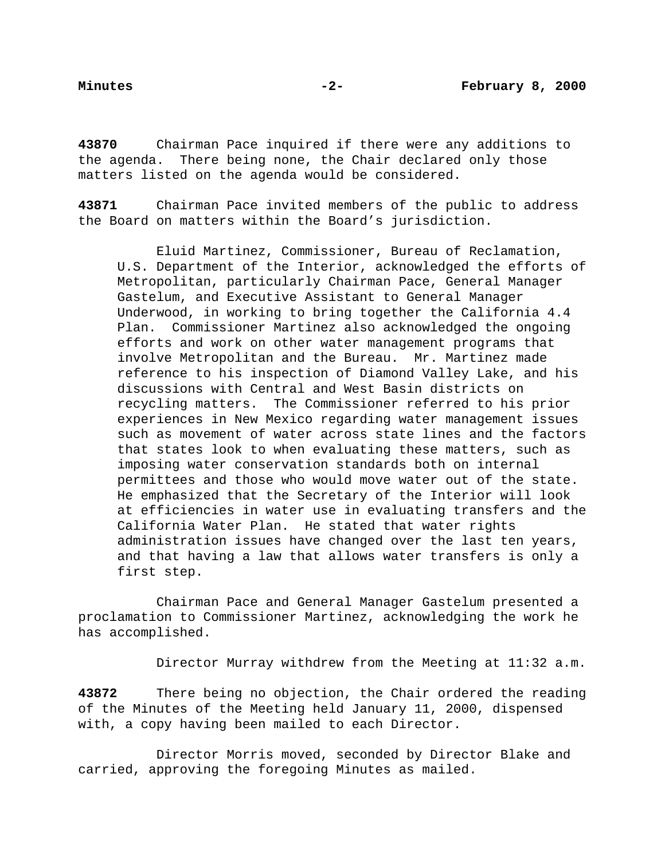**43870** Chairman Pace inquired if there were any additions to the agenda. There being none, the Chair declared only those matters listed on the agenda would be considered.

**43871** Chairman Pace invited members of the public to address the Board on matters within the Board's jurisdiction.

Eluid Martinez, Commissioner, Bureau of Reclamation, U.S. Department of the Interior, acknowledged the efforts of Metropolitan, particularly Chairman Pace, General Manager Gastelum, and Executive Assistant to General Manager Underwood, in working to bring together the California 4.4 Plan. Commissioner Martinez also acknowledged the ongoing efforts and work on other water management programs that involve Metropolitan and the Bureau. Mr. Martinez made reference to his inspection of Diamond Valley Lake, and his discussions with Central and West Basin districts on recycling matters. The Commissioner referred to his prior experiences in New Mexico regarding water management issues such as movement of water across state lines and the factors that states look to when evaluating these matters, such as imposing water conservation standards both on internal permittees and those who would move water out of the state. He emphasized that the Secretary of the Interior will look at efficiencies in water use in evaluating transfers and the California Water Plan. He stated that water rights administration issues have changed over the last ten years, and that having a law that allows water transfers is only a first step.

Chairman Pace and General Manager Gastelum presented a proclamation to Commissioner Martinez, acknowledging the work he has accomplished.

Director Murray withdrew from the Meeting at 11:32 a.m.

**43872** There being no objection, the Chair ordered the reading of the Minutes of the Meeting held January 11, 2000, dispensed with, a copy having been mailed to each Director.

Director Morris moved, seconded by Director Blake and carried, approving the foregoing Minutes as mailed.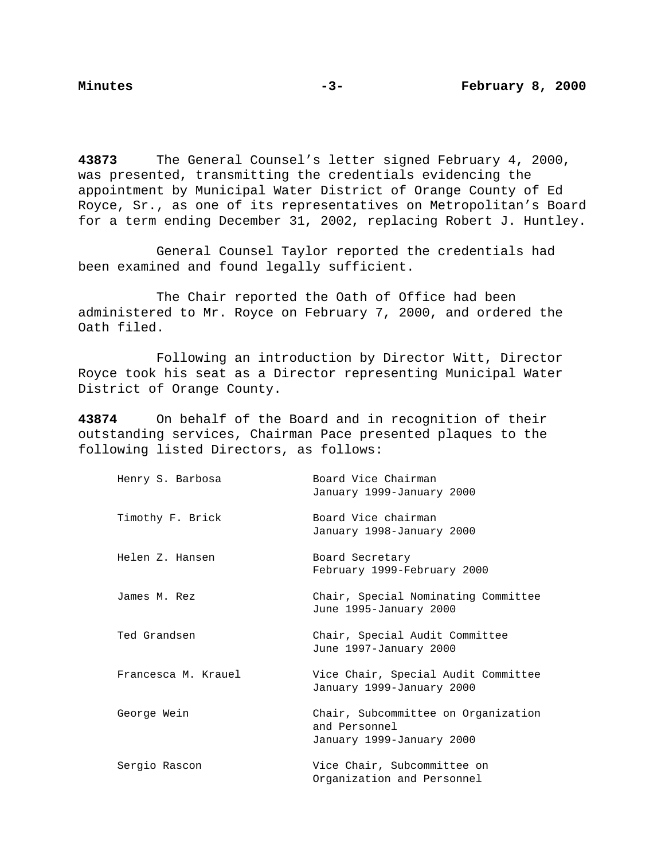**43873** The General Counsel's letter signed February 4, 2000, was presented, transmitting the credentials evidencing the appointment by Municipal Water District of Orange County of Ed Royce, Sr., as one of its representatives on Metropolitan's Board for a term ending December 31, 2002, replacing Robert J. Huntley.

General Counsel Taylor reported the credentials had been examined and found legally sufficient.

The Chair reported the Oath of Office had been administered to Mr. Royce on February 7, 2000, and ordered the Oath filed.

Following an introduction by Director Witt, Director Royce took his seat as a Director representing Municipal Water District of Orange County.

**43874** On behalf of the Board and in recognition of their outstanding services, Chairman Pace presented plaques to the following listed Directors, as follows:

| Henry S. Barbosa    | Board Vice Chairman<br>January 1999-January 2000                                  |
|---------------------|-----------------------------------------------------------------------------------|
| Timothy F. Brick    | Board Vice chairman<br>January 1998-January 2000                                  |
| Helen Z. Hansen     | Board Secretary<br>February 1999-February 2000                                    |
| James M. Rez        | Chair, Special Nominating Committee<br>June 1995-January 2000                     |
| Ted Grandsen        | Chair, Special Audit Committee<br>June 1997-January 2000                          |
| Francesca M. Krauel | Vice Chair, Special Audit Committee<br>January 1999-January 2000                  |
| George Wein         | Chair, Subcommittee on Organization<br>and Personnel<br>January 1999-January 2000 |
| Sergio Rascon       | Vice Chair, Subcommittee on<br>Organization and Personnel                         |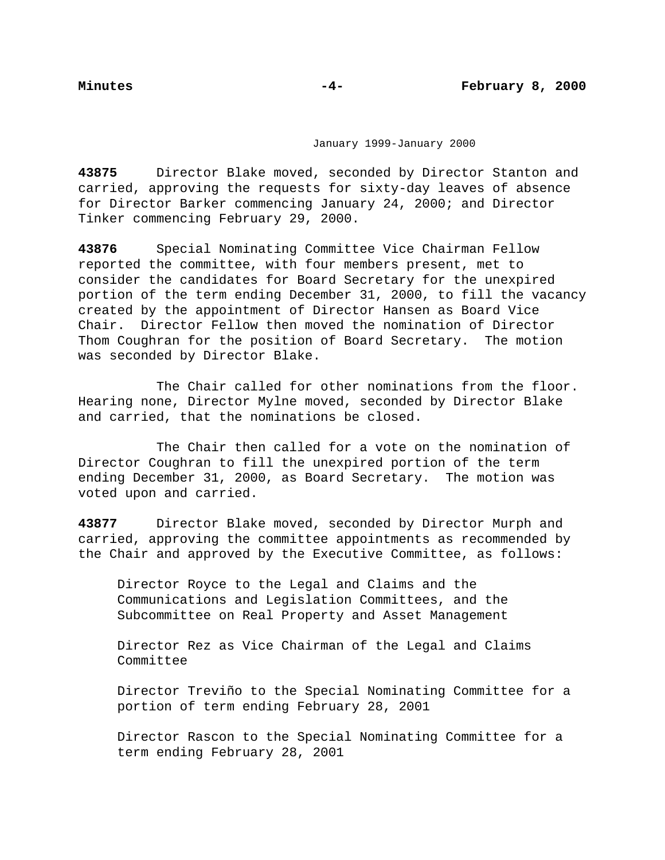January 1999-January 2000

**43875** Director Blake moved, seconded by Director Stanton and carried, approving the requests for sixty-day leaves of absence for Director Barker commencing January 24, 2000; and Director Tinker commencing February 29, 2000.

**43876** Special Nominating Committee Vice Chairman Fellow reported the committee, with four members present, met to consider the candidates for Board Secretary for the unexpired portion of the term ending December 31, 2000, to fill the vacancy created by the appointment of Director Hansen as Board Vice Chair. Director Fellow then moved the nomination of Director Thom Coughran for the position of Board Secretary. The motion was seconded by Director Blake.

The Chair called for other nominations from the floor. Hearing none, Director Mylne moved, seconded by Director Blake and carried, that the nominations be closed.

The Chair then called for a vote on the nomination of Director Coughran to fill the unexpired portion of the term ending December 31, 2000, as Board Secretary. The motion was voted upon and carried.

**43877** Director Blake moved, seconded by Director Murph and carried, approving the committee appointments as recommended by the Chair and approved by the Executive Committee, as follows:

Director Royce to the Legal and Claims and the Communications and Legislation Committees, and the Subcommittee on Real Property and Asset Management

Director Rez as Vice Chairman of the Legal and Claims Committee

Director Treviño to the Special Nominating Committee for a portion of term ending February 28, 2001

Director Rascon to the Special Nominating Committee for a term ending February 28, 2001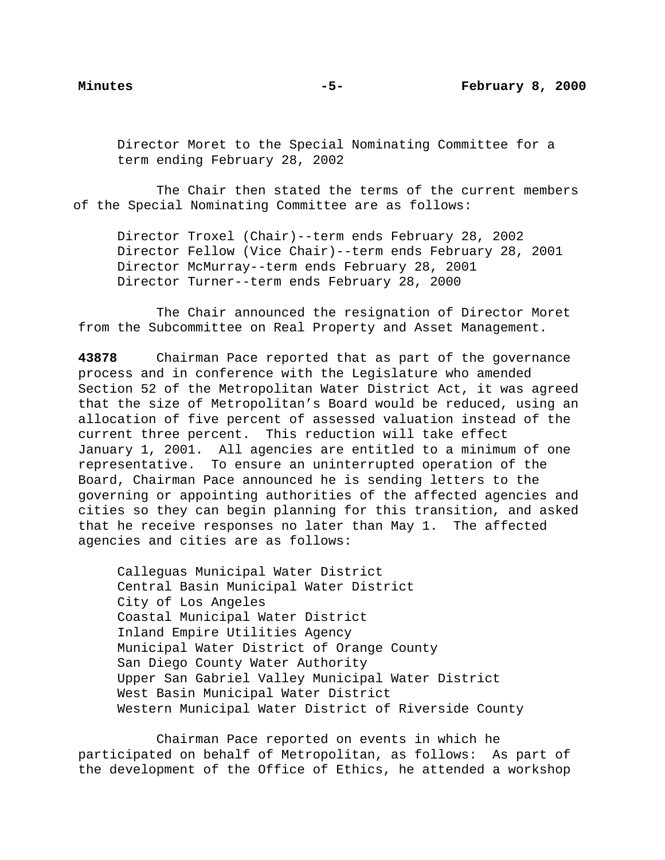Director Moret to the Special Nominating Committee for a term ending February 28, 2002

The Chair then stated the terms of the current members of the Special Nominating Committee are as follows:

Director Troxel (Chair)--term ends February 28, 2002 Director Fellow (Vice Chair)--term ends February 28, 2001 Director McMurray--term ends February 28, 2001 Director Turner--term ends February 28, 2000

The Chair announced the resignation of Director Moret from the Subcommittee on Real Property and Asset Management.

**43878** Chairman Pace reported that as part of the governance process and in conference with the Legislature who amended Section 52 of the Metropolitan Water District Act, it was agreed that the size of Metropolitan's Board would be reduced, using an allocation of five percent of assessed valuation instead of the current three percent. This reduction will take effect January 1, 2001. All agencies are entitled to a minimum of one representative. To ensure an uninterrupted operation of the Board, Chairman Pace announced he is sending letters to the governing or appointing authorities of the affected agencies and cities so they can begin planning for this transition, and asked that he receive responses no later than May 1. The affected agencies and cities are as follows:

Calleguas Municipal Water District Central Basin Municipal Water District City of Los Angeles Coastal Municipal Water District Inland Empire Utilities Agency Municipal Water District of Orange County San Diego County Water Authority Upper San Gabriel Valley Municipal Water District West Basin Municipal Water District Western Municipal Water District of Riverside County

Chairman Pace reported on events in which he participated on behalf of Metropolitan, as follows: As part of the development of the Office of Ethics, he attended a workshop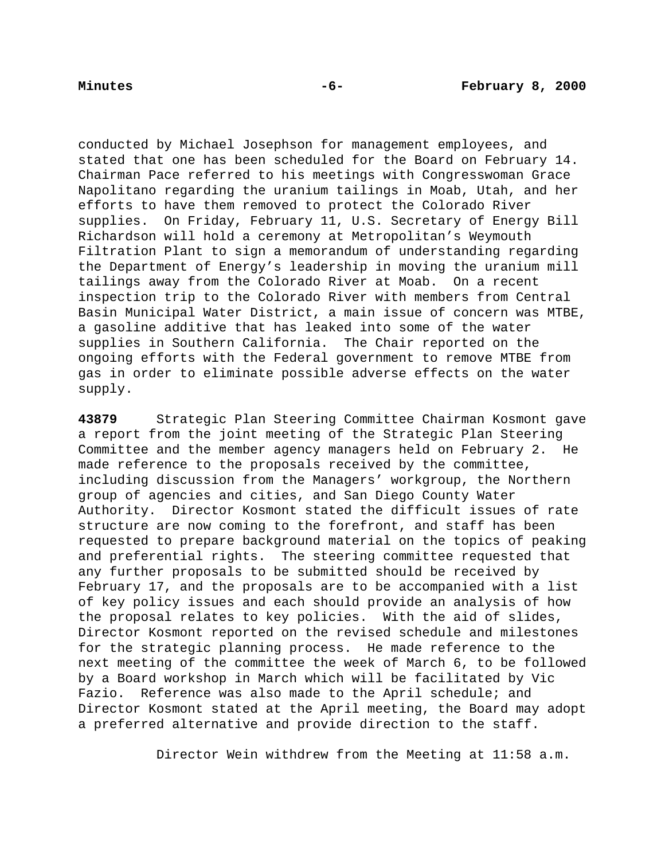conducted by Michael Josephson for management employees, and stated that one has been scheduled for the Board on February 14. Chairman Pace referred to his meetings with Congresswoman Grace Napolitano regarding the uranium tailings in Moab, Utah, and her efforts to have them removed to protect the Colorado River supplies. On Friday, February 11, U.S. Secretary of Energy Bill Richardson will hold a ceremony at Metropolitan's Weymouth Filtration Plant to sign a memorandum of understanding regarding the Department of Energy's leadership in moving the uranium mill tailings away from the Colorado River at Moab. On a recent inspection trip to the Colorado River with members from Central Basin Municipal Water District, a main issue of concern was MTBE, a gasoline additive that has leaked into some of the water supplies in Southern California. The Chair reported on the ongoing efforts with the Federal government to remove MTBE from gas in order to eliminate possible adverse effects on the water supply.

**43879** Strategic Plan Steering Committee Chairman Kosmont gave a report from the joint meeting of the Strategic Plan Steering Committee and the member agency managers held on February 2. He made reference to the proposals received by the committee, including discussion from the Managers' workgroup, the Northern group of agencies and cities, and San Diego County Water Authority. Director Kosmont stated the difficult issues of rate structure are now coming to the forefront, and staff has been requested to prepare background material on the topics of peaking and preferential rights. The steering committee requested that any further proposals to be submitted should be received by February 17, and the proposals are to be accompanied with a list of key policy issues and each should provide an analysis of how the proposal relates to key policies. With the aid of slides, Director Kosmont reported on the revised schedule and milestones for the strategic planning process. He made reference to the next meeting of the committee the week of March 6, to be followed by a Board workshop in March which will be facilitated by Vic Fazio. Reference was also made to the April schedule; and Director Kosmont stated at the April meeting, the Board may adopt a preferred alternative and provide direction to the staff.

Director Wein withdrew from the Meeting at 11:58 a.m.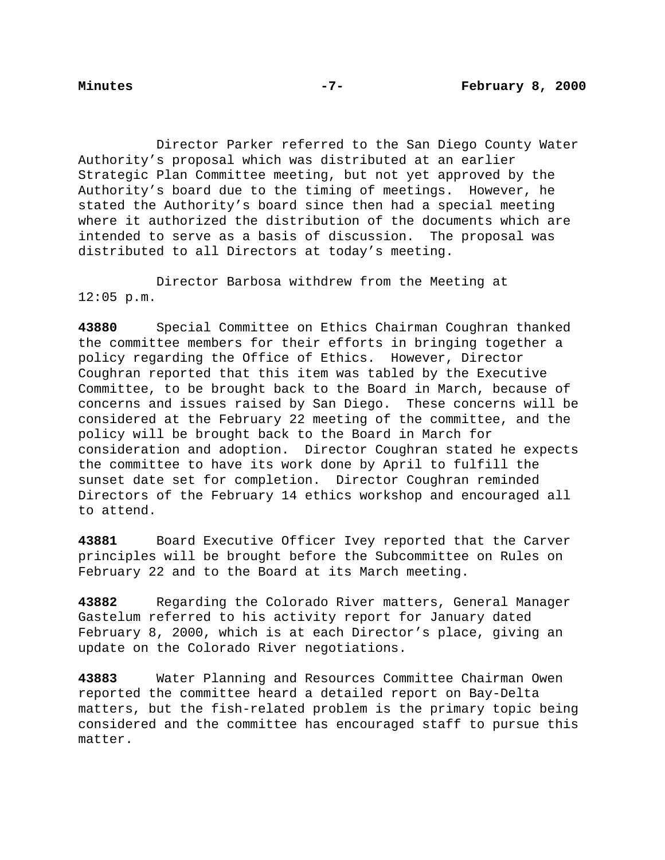Director Parker referred to the San Diego County Water Authority's proposal which was distributed at an earlier Strategic Plan Committee meeting, but not yet approved by the Authority's board due to the timing of meetings. However, he stated the Authority's board since then had a special meeting where it authorized the distribution of the documents which are intended to serve as a basis of discussion. The proposal was distributed to all Directors at today's meeting.

Director Barbosa withdrew from the Meeting at 12:05 p.m.

**43880** Special Committee on Ethics Chairman Coughran thanked the committee members for their efforts in bringing together a policy regarding the Office of Ethics. However, Director Coughran reported that this item was tabled by the Executive Committee, to be brought back to the Board in March, because of concerns and issues raised by San Diego. These concerns will be considered at the February 22 meeting of the committee, and the policy will be brought back to the Board in March for consideration and adoption. Director Coughran stated he expects the committee to have its work done by April to fulfill the sunset date set for completion. Director Coughran reminded Directors of the February 14 ethics workshop and encouraged all to attend.

**43881** Board Executive Officer Ivey reported that the Carver principles will be brought before the Subcommittee on Rules on February 22 and to the Board at its March meeting.

**43882** Regarding the Colorado River matters, General Manager Gastelum referred to his activity report for January dated February 8, 2000, which is at each Director's place, giving an update on the Colorado River negotiations.

**43883** Water Planning and Resources Committee Chairman Owen reported the committee heard a detailed report on Bay-Delta matters, but the fish-related problem is the primary topic being considered and the committee has encouraged staff to pursue this matter.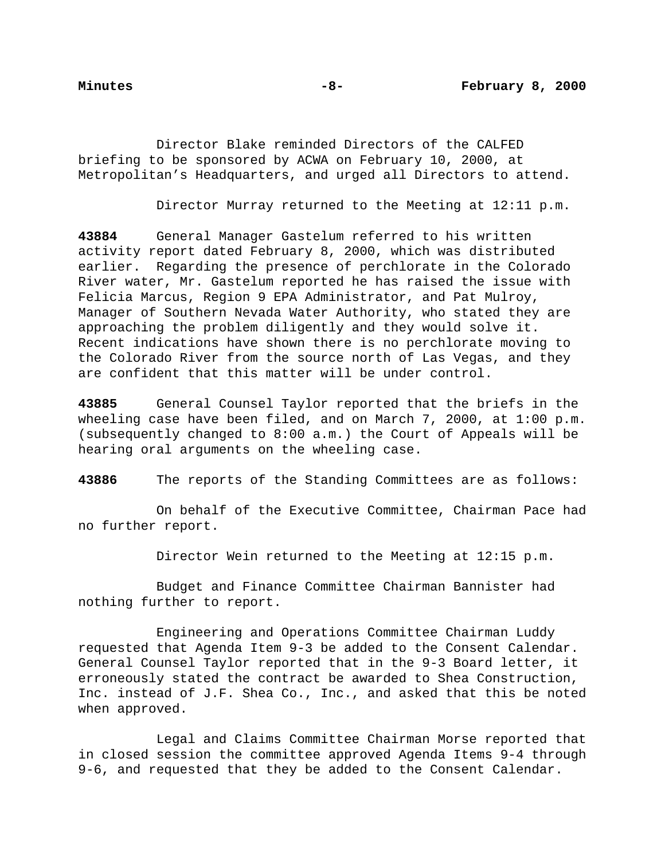Director Blake reminded Directors of the CALFED briefing to be sponsored by ACWA on February 10, 2000, at Metropolitan's Headquarters, and urged all Directors to attend.

Director Murray returned to the Meeting at 12:11 p.m.

**43884** General Manager Gastelum referred to his written activity report dated February 8, 2000, which was distributed earlier. Regarding the presence of perchlorate in the Colorado River water, Mr. Gastelum reported he has raised the issue with Felicia Marcus, Region 9 EPA Administrator, and Pat Mulroy, Manager of Southern Nevada Water Authority, who stated they are approaching the problem diligently and they would solve it. Recent indications have shown there is no perchlorate moving to the Colorado River from the source north of Las Vegas, and they are confident that this matter will be under control.

**43885** General Counsel Taylor reported that the briefs in the wheeling case have been filed, and on March 7, 2000, at 1:00 p.m. (subsequently changed to 8:00 a.m.) the Court of Appeals will be hearing oral arguments on the wheeling case.

**43886** The reports of the Standing Committees are as follows:

On behalf of the Executive Committee, Chairman Pace had no further report.

Director Wein returned to the Meeting at 12:15 p.m.

Budget and Finance Committee Chairman Bannister had nothing further to report.

Engineering and Operations Committee Chairman Luddy requested that Agenda Item 9-3 be added to the Consent Calendar. General Counsel Taylor reported that in the 9-3 Board letter, it erroneously stated the contract be awarded to Shea Construction, Inc. instead of J.F. Shea Co., Inc., and asked that this be noted when approved.

Legal and Claims Committee Chairman Morse reported that in closed session the committee approved Agenda Items 9-4 through 9-6, and requested that they be added to the Consent Calendar.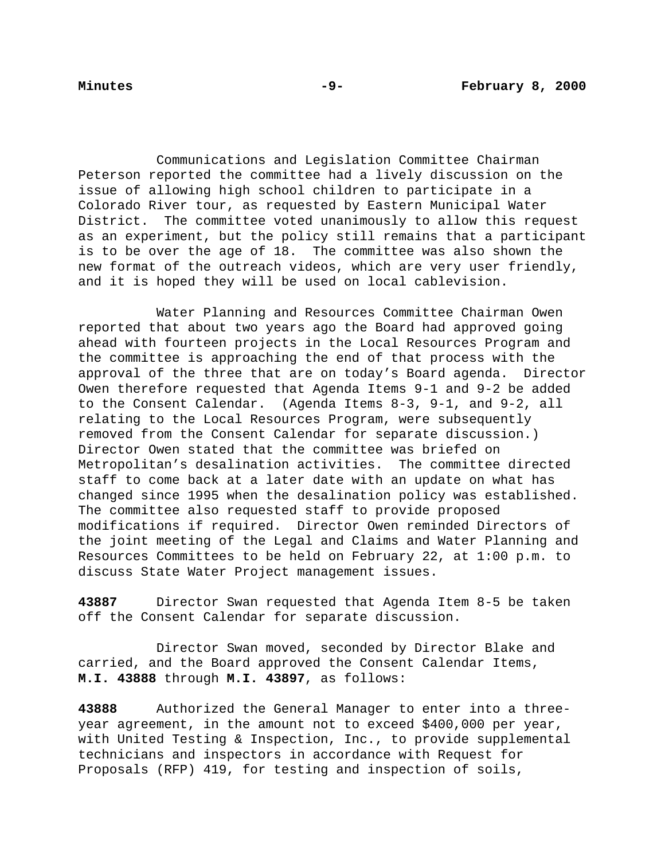Communications and Legislation Committee Chairman Peterson reported the committee had a lively discussion on the issue of allowing high school children to participate in a Colorado River tour, as requested by Eastern Municipal Water District. The committee voted unanimously to allow this request as an experiment, but the policy still remains that a participant is to be over the age of 18. The committee was also shown the new format of the outreach videos, which are very user friendly, and it is hoped they will be used on local cablevision.

Water Planning and Resources Committee Chairman Owen reported that about two years ago the Board had approved going ahead with fourteen projects in the Local Resources Program and the committee is approaching the end of that process with the approval of the three that are on today's Board agenda. Director Owen therefore requested that Agenda Items 9-1 and 9-2 be added to the Consent Calendar. (Agenda Items 8-3, 9-1, and 9-2, all relating to the Local Resources Program, were subsequently removed from the Consent Calendar for separate discussion.) Director Owen stated that the committee was briefed on Metropolitan's desalination activities. The committee directed staff to come back at a later date with an update on what has changed since 1995 when the desalination policy was established. The committee also requested staff to provide proposed modifications if required. Director Owen reminded Directors of the joint meeting of the Legal and Claims and Water Planning and Resources Committees to be held on February 22, at 1:00 p.m. to discuss State Water Project management issues.

**43887** Director Swan requested that Agenda Item 8-5 be taken off the Consent Calendar for separate discussion.

Director Swan moved, seconded by Director Blake and carried, and the Board approved the Consent Calendar Items, **M.I. 43888** through **M.I. 43897**, as follows:

**43888** Authorized the General Manager to enter into a threeyear agreement, in the amount not to exceed \$400,000 per year, with United Testing & Inspection, Inc., to provide supplemental technicians and inspectors in accordance with Request for Proposals (RFP) 419, for testing and inspection of soils,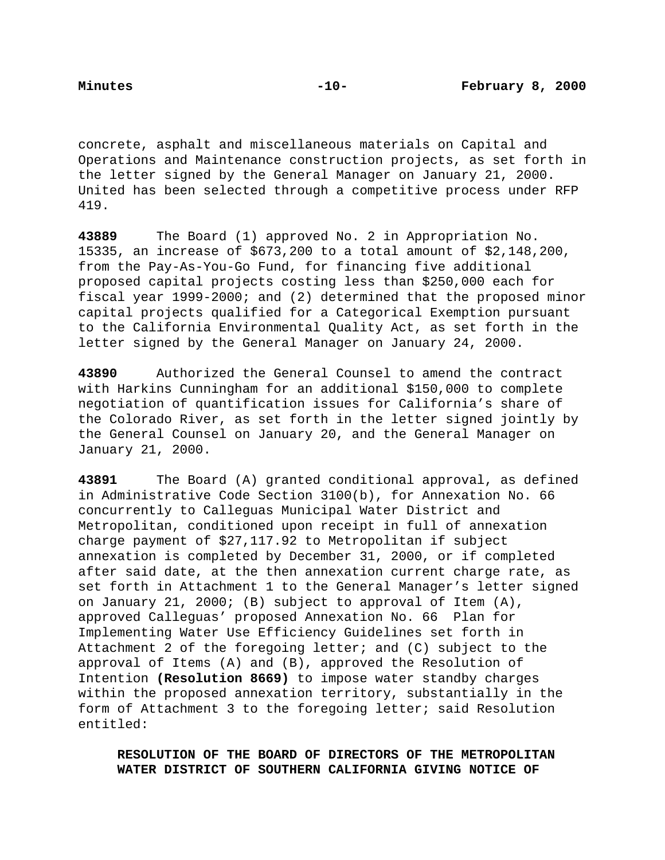concrete, asphalt and miscellaneous materials on Capital and Operations and Maintenance construction projects, as set forth in the letter signed by the General Manager on January 21, 2000. United has been selected through a competitive process under RFP 419.

**43889** The Board (1) approved No. 2 in Appropriation No. 15335, an increase of \$673,200 to a total amount of \$2,148,200, from the Pay-As-You-Go Fund, for financing five additional proposed capital projects costing less than \$250,000 each for fiscal year 1999-2000; and (2) determined that the proposed minor capital projects qualified for a Categorical Exemption pursuant to the California Environmental Quality Act, as set forth in the letter signed by the General Manager on January 24, 2000.

**43890** Authorized the General Counsel to amend the contract with Harkins Cunningham for an additional \$150,000 to complete negotiation of quantification issues for California's share of the Colorado River, as set forth in the letter signed jointly by the General Counsel on January 20, and the General Manager on January 21, 2000.

**43891** The Board (A) granted conditional approval, as defined in Administrative Code Section 3100(b), for Annexation No. 66 concurrently to Calleguas Municipal Water District and Metropolitan, conditioned upon receipt in full of annexation charge payment of \$27,117.92 to Metropolitan if subject annexation is completed by December 31, 2000, or if completed after said date, at the then annexation current charge rate, as set forth in Attachment 1 to the General Manager's letter signed on January 21, 2000; (B) subject to approval of Item (A), approved Calleguas' proposed Annexation No. 66 Plan for Implementing Water Use Efficiency Guidelines set forth in Attachment 2 of the foregoing letter; and (C) subject to the approval of Items (A) and (B), approved the Resolution of Intention **(Resolution 8669)** to impose water standby charges within the proposed annexation territory, substantially in the form of Attachment 3 to the foregoing letter; said Resolution entitled:

**RESOLUTION OF THE BOARD OF DIRECTORS OF THE METROPOLITAN WATER DISTRICT OF SOUTHERN CALIFORNIA GIVING NOTICE OF**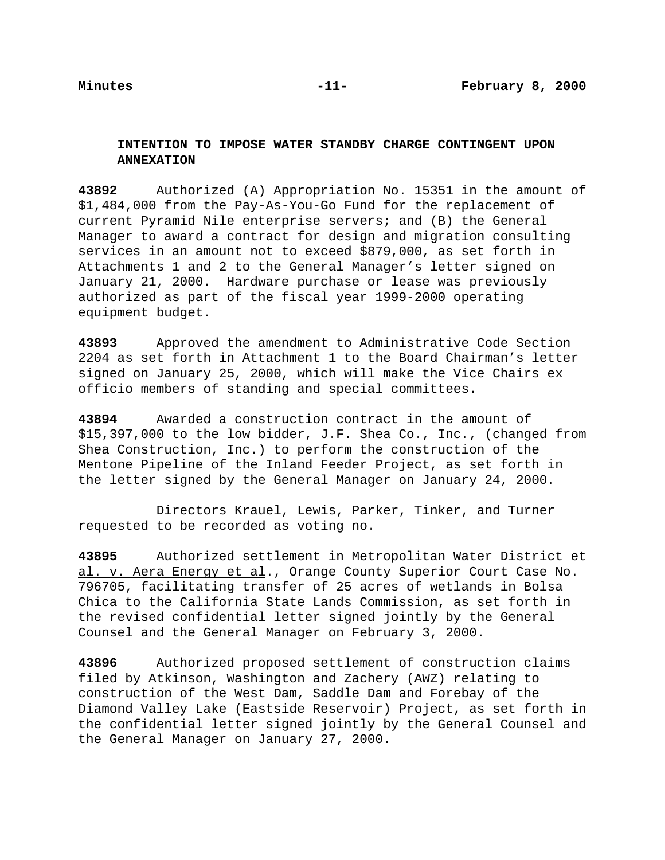# **INTENTION TO IMPOSE WATER STANDBY CHARGE CONTINGENT UPON ANNEXATION**

**43892** Authorized (A) Appropriation No. 15351 in the amount of \$1,484,000 from the Pay-As-You-Go Fund for the replacement of current Pyramid Nile enterprise servers; and (B) the General Manager to award a contract for design and migration consulting services in an amount not to exceed \$879,000, as set forth in Attachments 1 and 2 to the General Manager's letter signed on January 21, 2000. Hardware purchase or lease was previously authorized as part of the fiscal year 1999-2000 operating equipment budget.

**43893** Approved the amendment to Administrative Code Section 2204 as set forth in Attachment 1 to the Board Chairman's letter signed on January 25, 2000, which will make the Vice Chairs ex officio members of standing and special committees.

**43894** Awarded a construction contract in the amount of \$15,397,000 to the low bidder, J.F. Shea Co., Inc., (changed from Shea Construction, Inc.) to perform the construction of the Mentone Pipeline of the Inland Feeder Project, as set forth in the letter signed by the General Manager on January 24, 2000.

Directors Krauel, Lewis, Parker, Tinker, and Turner requested to be recorded as voting no.

**43895** Authorized settlement in Metropolitan Water District et al. v. Aera Energy et al., Orange County Superior Court Case No. 796705, facilitating transfer of 25 acres of wetlands in Bolsa Chica to the California State Lands Commission, as set forth in the revised confidential letter signed jointly by the General Counsel and the General Manager on February 3, 2000.

**43896** Authorized proposed settlement of construction claims filed by Atkinson, Washington and Zachery (AWZ) relating to construction of the West Dam, Saddle Dam and Forebay of the Diamond Valley Lake (Eastside Reservoir) Project, as set forth in the confidential letter signed jointly by the General Counsel and the General Manager on January 27, 2000.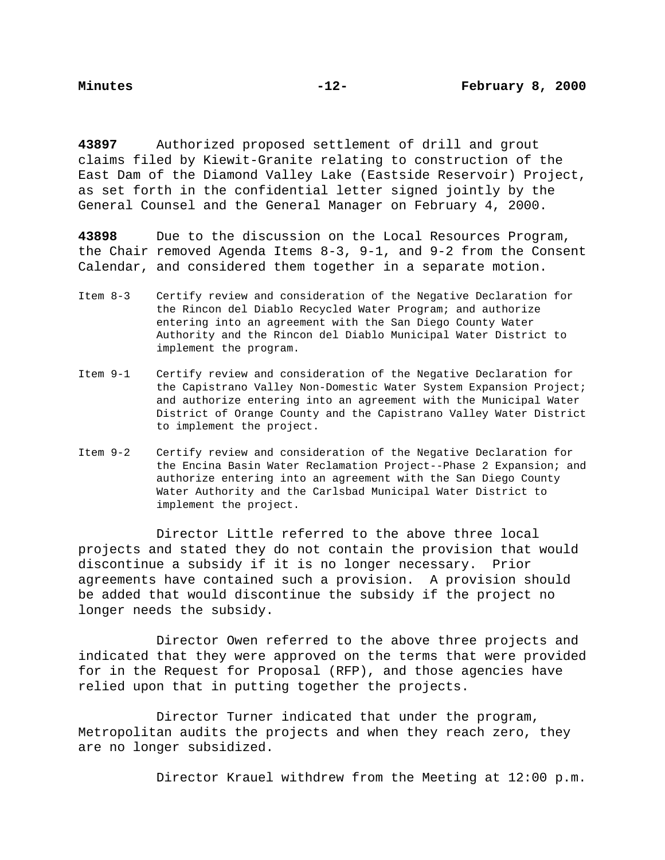**43897** Authorized proposed settlement of drill and grout claims filed by Kiewit-Granite relating to construction of the East Dam of the Diamond Valley Lake (Eastside Reservoir) Project, as set forth in the confidential letter signed jointly by the General Counsel and the General Manager on February 4, 2000.

**43898** Due to the discussion on the Local Resources Program, the Chair removed Agenda Items 8-3, 9-1, and 9-2 from the Consent Calendar, and considered them together in a separate motion.

- Item 8-3 Certify review and consideration of the Negative Declaration for the Rincon del Diablo Recycled Water Program; and authorize entering into an agreement with the San Diego County Water Authority and the Rincon del Diablo Municipal Water District to implement the program.
- Item 9-1 Certify review and consideration of the Negative Declaration for the Capistrano Valley Non-Domestic Water System Expansion Project; and authorize entering into an agreement with the Municipal Water District of Orange County and the Capistrano Valley Water District to implement the project.
- Item 9-2 Certify review and consideration of the Negative Declaration for the Encina Basin Water Reclamation Project--Phase 2 Expansion; and authorize entering into an agreement with the San Diego County Water Authority and the Carlsbad Municipal Water District to implement the project.

Director Little referred to the above three local projects and stated they do not contain the provision that would discontinue a subsidy if it is no longer necessary. Prior agreements have contained such a provision. A provision should be added that would discontinue the subsidy if the project no longer needs the subsidy.

Director Owen referred to the above three projects and indicated that they were approved on the terms that were provided for in the Request for Proposal (RFP), and those agencies have relied upon that in putting together the projects.

Director Turner indicated that under the program, Metropolitan audits the projects and when they reach zero, they are no longer subsidized.

Director Krauel withdrew from the Meeting at 12:00 p.m.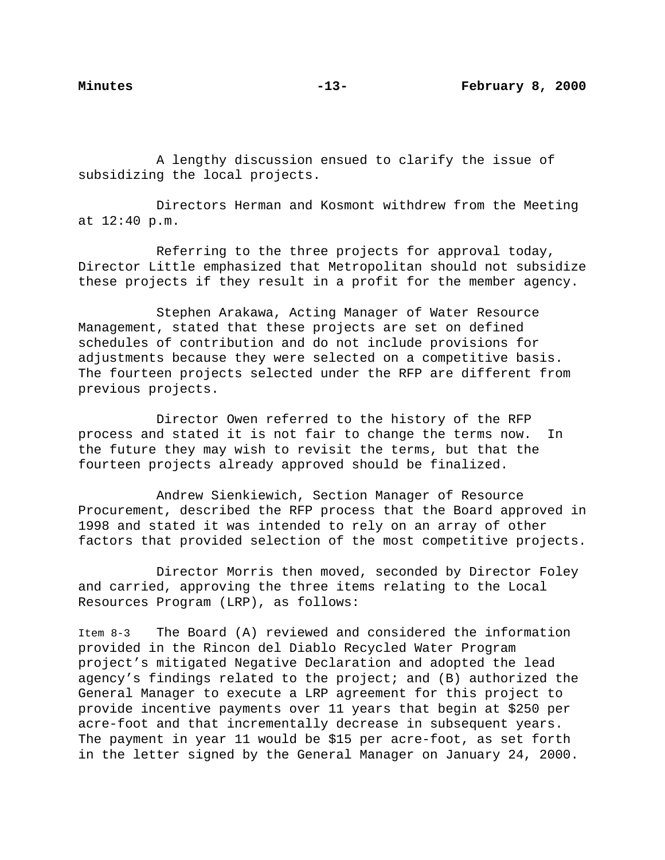A lengthy discussion ensued to clarify the issue of subsidizing the local projects.

Directors Herman and Kosmont withdrew from the Meeting at 12:40 p.m.

Referring to the three projects for approval today, Director Little emphasized that Metropolitan should not subsidize these projects if they result in a profit for the member agency.

Stephen Arakawa, Acting Manager of Water Resource Management, stated that these projects are set on defined schedules of contribution and do not include provisions for adjustments because they were selected on a competitive basis. The fourteen projects selected under the RFP are different from previous projects.

Director Owen referred to the history of the RFP process and stated it is not fair to change the terms now. In the future they may wish to revisit the terms, but that the fourteen projects already approved should be finalized.

Andrew Sienkiewich, Section Manager of Resource Procurement, described the RFP process that the Board approved in 1998 and stated it was intended to rely on an array of other factors that provided selection of the most competitive projects.

Director Morris then moved, seconded by Director Foley and carried, approving the three items relating to the Local Resources Program (LRP), as follows:

Item 8-3 The Board (A) reviewed and considered the information provided in the Rincon del Diablo Recycled Water Program project's mitigated Negative Declaration and adopted the lead agency's findings related to the project; and (B) authorized the General Manager to execute a LRP agreement for this project to provide incentive payments over 11 years that begin at \$250 per acre-foot and that incrementally decrease in subsequent years. The payment in year 11 would be \$15 per acre-foot, as set forth in the letter signed by the General Manager on January 24, 2000.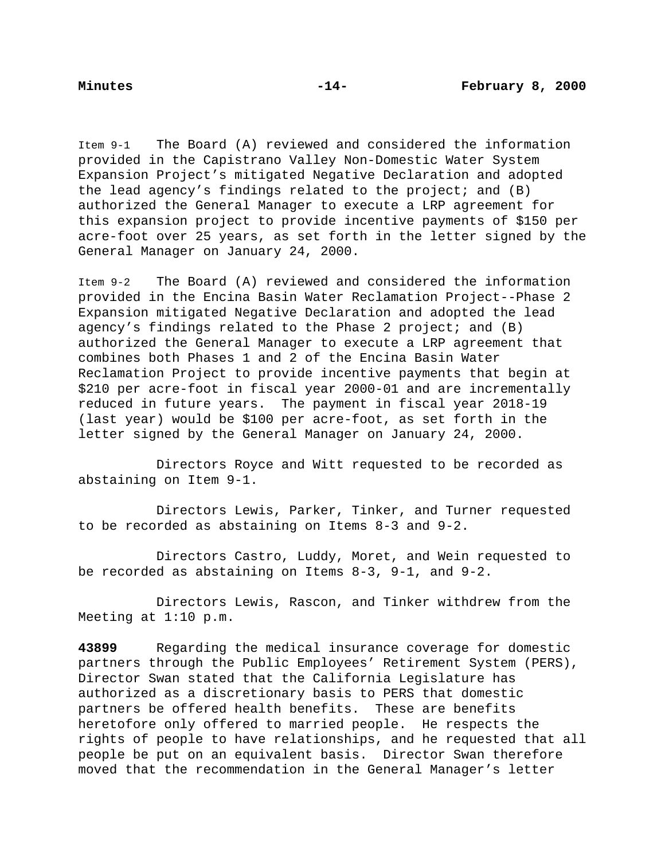Item 9-1 The Board (A) reviewed and considered the information provided in the Capistrano Valley Non-Domestic Water System Expansion Project's mitigated Negative Declaration and adopted the lead agency's findings related to the project; and (B) authorized the General Manager to execute a LRP agreement for this expansion project to provide incentive payments of \$150 per acre-foot over 25 years, as set forth in the letter signed by the General Manager on January 24, 2000.

Item 9-2 The Board (A) reviewed and considered the information provided in the Encina Basin Water Reclamation Project--Phase 2 Expansion mitigated Negative Declaration and adopted the lead agency's findings related to the Phase 2 project; and  $(B)$ authorized the General Manager to execute a LRP agreement that combines both Phases 1 and 2 of the Encina Basin Water Reclamation Project to provide incentive payments that begin at \$210 per acre-foot in fiscal year 2000-01 and are incrementally reduced in future years. The payment in fiscal year 2018-19 (last year) would be \$100 per acre-foot, as set forth in the letter signed by the General Manager on January 24, 2000.

Directors Royce and Witt requested to be recorded as abstaining on Item 9-1.

Directors Lewis, Parker, Tinker, and Turner requested to be recorded as abstaining on Items 8-3 and 9-2.

Directors Castro, Luddy, Moret, and Wein requested to be recorded as abstaining on Items 8-3, 9-1, and 9-2.

Directors Lewis, Rascon, and Tinker withdrew from the Meeting at 1:10 p.m.

**43899** Regarding the medical insurance coverage for domestic partners through the Public Employees' Retirement System (PERS), Director Swan stated that the California Legislature has authorized as a discretionary basis to PERS that domestic partners be offered health benefits. These are benefits heretofore only offered to married people. He respects the rights of people to have relationships, and he requested that all people be put on an equivalent basis. Director Swan therefore moved that the recommendation in the General Manager's letter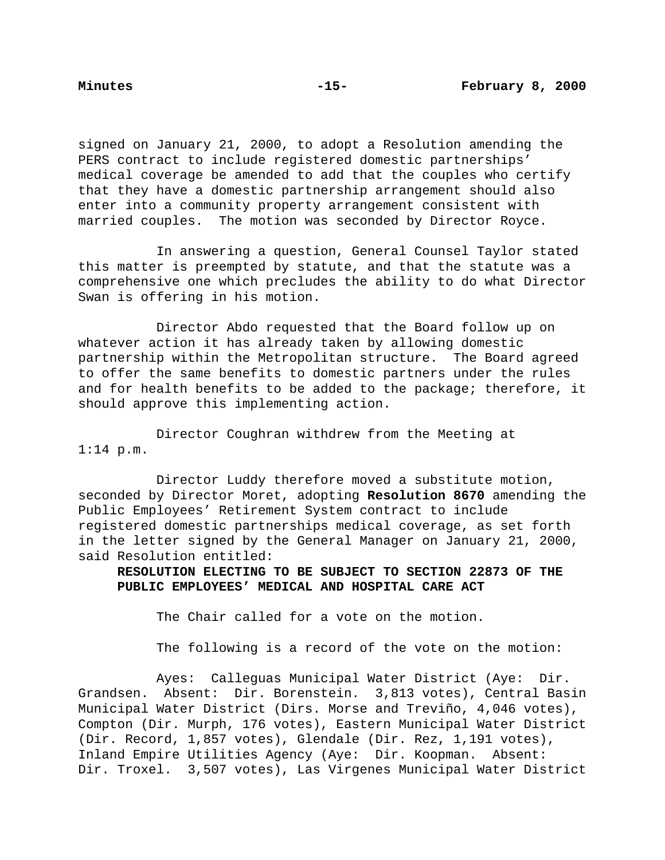signed on January 21, 2000, to adopt a Resolution amending the PERS contract to include registered domestic partnerships' medical coverage be amended to add that the couples who certify that they have a domestic partnership arrangement should also enter into a community property arrangement consistent with married couples. The motion was seconded by Director Royce.

In answering a question, General Counsel Taylor stated this matter is preempted by statute, and that the statute was a comprehensive one which precludes the ability to do what Director Swan is offering in his motion.

Director Abdo requested that the Board follow up on whatever action it has already taken by allowing domestic partnership within the Metropolitan structure. The Board agreed to offer the same benefits to domestic partners under the rules and for health benefits to be added to the package; therefore, it should approve this implementing action.

Director Coughran withdrew from the Meeting at 1:14 p.m.

Director Luddy therefore moved a substitute motion, seconded by Director Moret, adopting **Resolution 8670** amending the Public Employees' Retirement System contract to include registered domestic partnerships medical coverage, as set forth in the letter signed by the General Manager on January 21, 2000, said Resolution entitled:

**RESOLUTION ELECTING TO BE SUBJECT TO SECTION 22873 OF THE PUBLIC EMPLOYEES' MEDICAL AND HOSPITAL CARE ACT**

The Chair called for a vote on the motion.

The following is a record of the vote on the motion:

Ayes: Calleguas Municipal Water District (Aye: Dir. Grandsen. Absent: Dir. Borenstein. 3,813 votes), Central Basin Municipal Water District (Dirs. Morse and Treviño, 4,046 votes), Compton (Dir. Murph, 176 votes), Eastern Municipal Water District (Dir. Record, 1,857 votes), Glendale (Dir. Rez, 1,191 votes), Inland Empire Utilities Agency (Aye: Dir. Koopman. Absent: Dir. Troxel. 3,507 votes), Las Virgenes Municipal Water District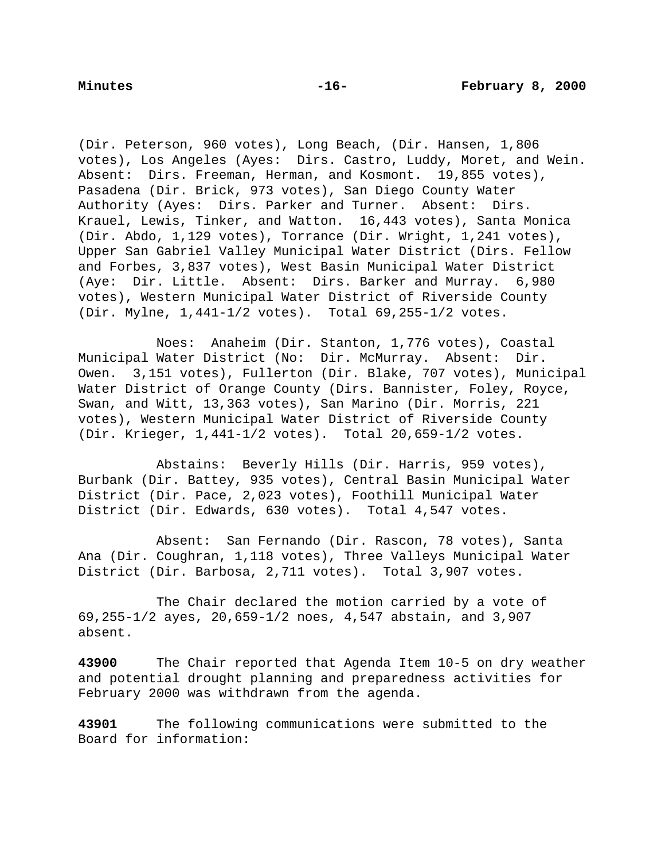(Dir. Peterson, 960 votes), Long Beach, (Dir. Hansen, 1,806 votes), Los Angeles (Ayes: Dirs. Castro, Luddy, Moret, and Wein. Absent: Dirs. Freeman, Herman, and Kosmont. 19,855 votes), Pasadena (Dir. Brick, 973 votes), San Diego County Water Authority (Ayes: Dirs. Parker and Turner. Absent: Dirs. Krauel, Lewis, Tinker, and Watton. 16,443 votes), Santa Monica (Dir. Abdo, 1,129 votes), Torrance (Dir. Wright, 1,241 votes), Upper San Gabriel Valley Municipal Water District (Dirs. Fellow and Forbes, 3,837 votes), West Basin Municipal Water District (Aye: Dir. Little. Absent: Dirs. Barker and Murray. 6,980 votes), Western Municipal Water District of Riverside County (Dir. Mylne, 1,441-1/2 votes). Total 69,255-1/2 votes.

Noes: Anaheim (Dir. Stanton, 1,776 votes), Coastal Municipal Water District (No: Dir. McMurray. Absent: Dir. Owen. 3,151 votes), Fullerton (Dir. Blake, 707 votes), Municipal Water District of Orange County (Dirs. Bannister, Foley, Royce, Swan, and Witt, 13,363 votes), San Marino (Dir. Morris, 221 votes), Western Municipal Water District of Riverside County (Dir. Krieger, 1,441-1/2 votes). Total 20,659-1/2 votes.

Abstains: Beverly Hills (Dir. Harris, 959 votes), Burbank (Dir. Battey, 935 votes), Central Basin Municipal Water District (Dir. Pace, 2,023 votes), Foothill Municipal Water District (Dir. Edwards, 630 votes). Total 4,547 votes.

Absent: San Fernando (Dir. Rascon, 78 votes), Santa Ana (Dir. Coughran, 1,118 votes), Three Valleys Municipal Water District (Dir. Barbosa, 2,711 votes). Total 3,907 votes.

The Chair declared the motion carried by a vote of 69,255-1/2 ayes, 20,659-1/2 noes, 4,547 abstain, and 3,907 absent.

**43900** The Chair reported that Agenda Item 10-5 on dry weather and potential drought planning and preparedness activities for February 2000 was withdrawn from the agenda.

**43901** The following communications were submitted to the Board for information: